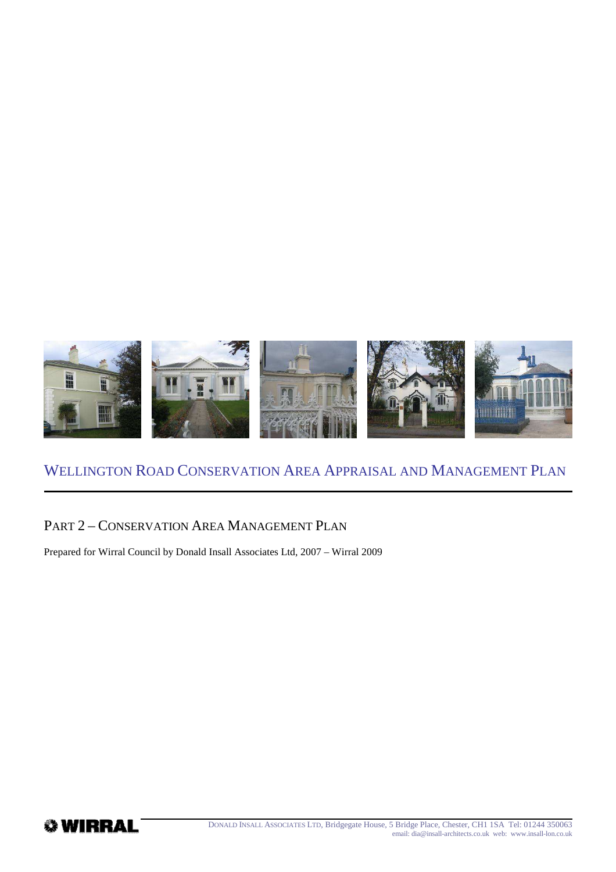

### PART 2 – CONSERVATION AREA MANAGEMENT PLAN

Prepared for Wirral Council by Donald Insall Associates Ltd, 2007 – Wirral 2009

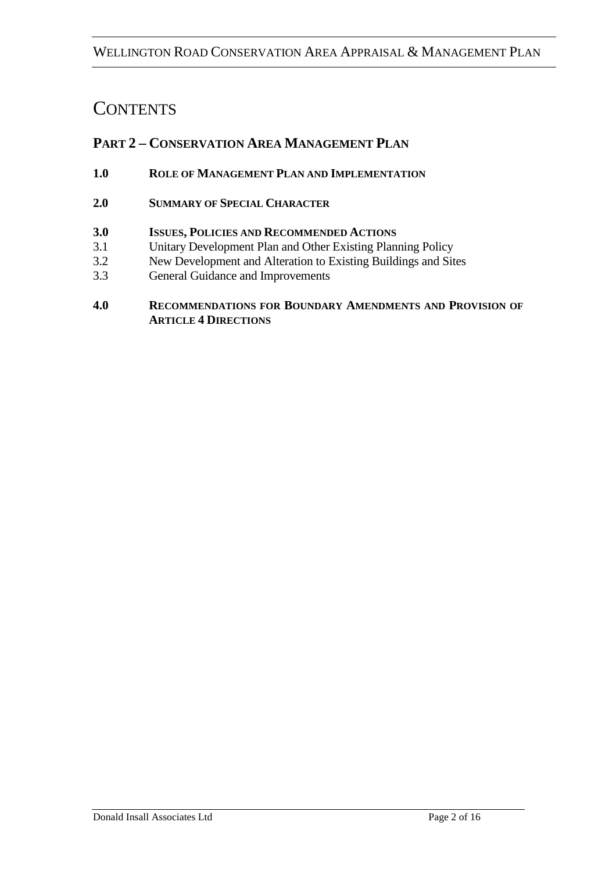# **CONTENTS**

# **PART 2 – CONSERVATION AREA MANAGEMENT PLAN**

- **1.0 ROLE OF MANAGEMENT PLAN AND IMPLEMENTATION**
- **2.0 SUMMARY OF SPECIAL CHARACTER**
- **3.0 ISSUES, POLICIES AND RECOMMENDED ACTIONS**
- 3.1 Unitary Development Plan and Other Existing Planning Policy
- 3.2 New Development and Alteration to Existing Buildings and Sites
- 3.3 General Guidance and Improvements
- **4.0 RECOMMENDATIONS FOR BOUNDARY AMENDMENTS AND PROVISION OF ARTICLE 4 DIRECTIONS**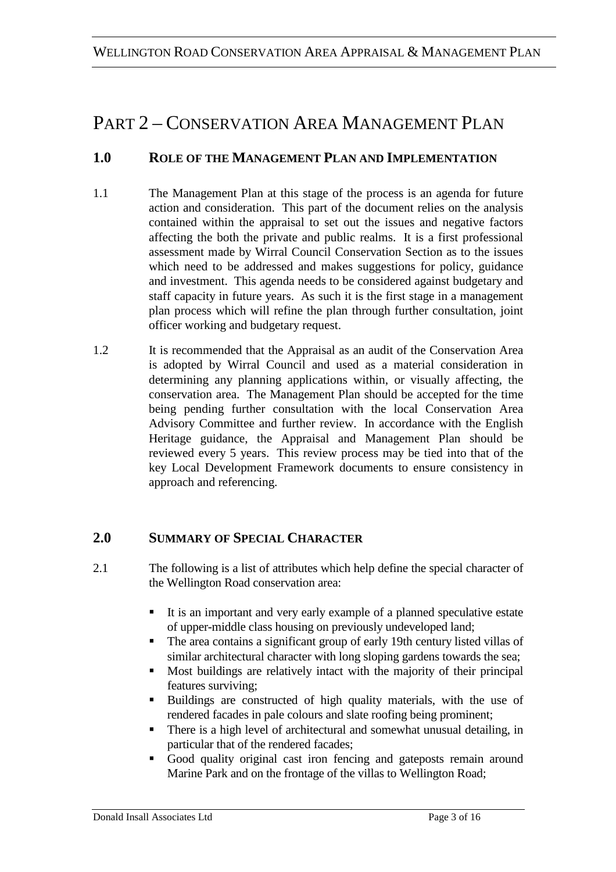# PART 2 – CONSERVATION AREA MANAGEMENT PLAN

# **1.0 ROLE OF THE MANAGEMENT PLAN AND IMPLEMENTATION**

- 1.1 The Management Plan at this stage of the process is an agenda for future action and consideration. This part of the document relies on the analysis contained within the appraisal to set out the issues and negative factors affecting the both the private and public realms. It is a first professional assessment made by Wirral Council Conservation Section as to the issues which need to be addressed and makes suggestions for policy, guidance and investment. This agenda needs to be considered against budgetary and staff capacity in future years. As such it is the first stage in a management plan process which will refine the plan through further consultation, joint officer working and budgetary request.
- 1.2 It is recommended that the Appraisal as an audit of the Conservation Area is adopted by Wirral Council and used as a material consideration in determining any planning applications within, or visually affecting, the conservation area. The Management Plan should be accepted for the time being pending further consultation with the local Conservation Area Advisory Committee and further review. In accordance with the English Heritage guidance, the Appraisal and Management Plan should be reviewed every 5 years. This review process may be tied into that of the key Local Development Framework documents to ensure consistency in approach and referencing.

# **2.0 SUMMARY OF SPECIAL CHARACTER**

- 2.1 The following is a list of attributes which help define the special character of the Wellington Road conservation area:
	- It is an important and very early example of a planned speculative estate of upper-middle class housing on previously undeveloped land;
	- The area contains a significant group of early 19th century listed villas of similar architectural character with long sloping gardens towards the sea;
	- Most buildings are relatively intact with the majority of their principal features surviving;
	- Buildings are constructed of high quality materials, with the use of rendered facades in pale colours and slate roofing being prominent;
	- There is a high level of architectural and somewhat unusual detailing, in particular that of the rendered facades;
	- Good quality original cast iron fencing and gateposts remain around Marine Park and on the frontage of the villas to Wellington Road;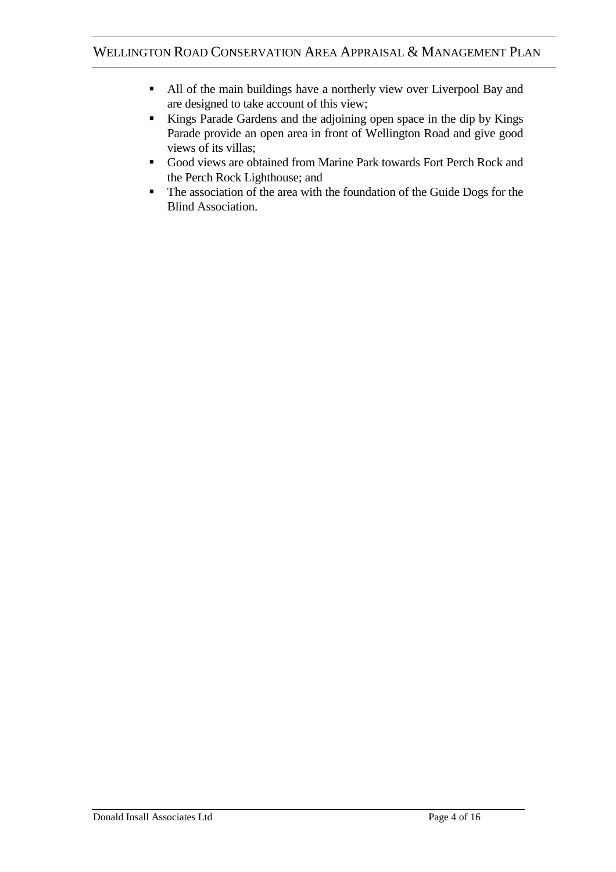- All of the main buildings have a northerly view over Liverpool Bay and are designed to take account of this view;
- Kings Parade Gardens and the adjoining open space in the dip by Kings Parade provide an open area in front of Wellington Road and give good views of its villas;
- Good views are obtained from Marine Park towards Fort Perch Rock and the Perch Rock Lighthouse; and
- The association of the area with the foundation of the Guide Dogs for the Blind Association.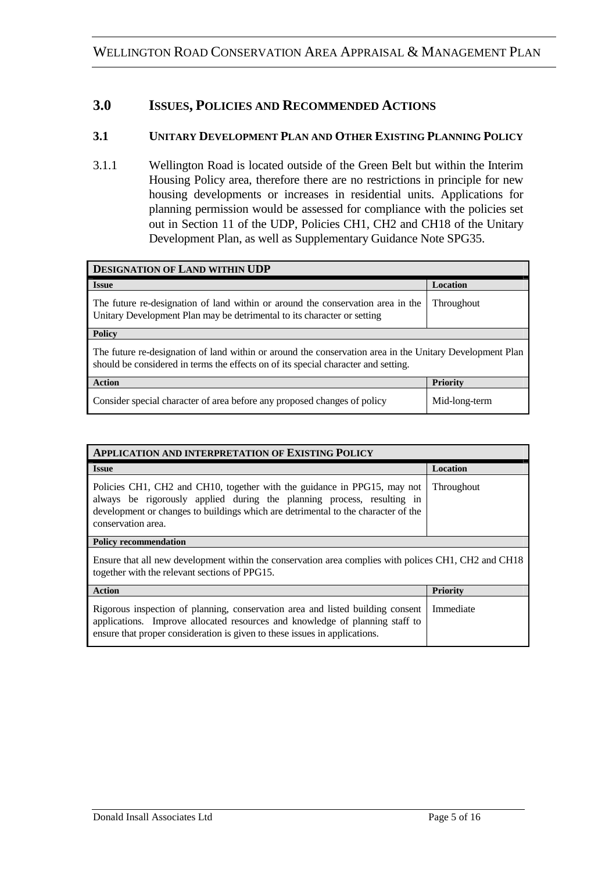### **3.0 ISSUES, POLICIES AND RECOMMENDED ACTIONS**

#### **3.1 UNITARY DEVELOPMENT PLAN AND OTHER EXISTING PLANNING POLICY**

3.1.1 Wellington Road is located outside of the Green Belt but within the Interim Housing Policy area, therefore there are no restrictions in principle for new housing developments or increases in residential units. Applications for planning permission would be assessed for compliance with the policies set out in Section 11 of the UDP, Policies CH1, CH2 and CH18 of the Unitary Development Plan, as well as Supplementary Guidance Note SPG35.

| <b>DESIGNATION OF LAND WITHIN UDP</b>                                                                                                                                                          |                 |
|------------------------------------------------------------------------------------------------------------------------------------------------------------------------------------------------|-----------------|
| <b>Issue</b>                                                                                                                                                                                   | <b>Location</b> |
| The future re-designation of land within or around the conservation area in the<br>Unitary Development Plan may be detrimental to its character or setting                                     | Throughout      |
| <b>Policy</b>                                                                                                                                                                                  |                 |
| The future re-designation of land within or around the conservation area in the Unitary Development Plan<br>should be considered in terms the effects on of its special character and setting. |                 |
| <b>Action</b>                                                                                                                                                                                  | <b>Priority</b> |
| Consider special character of area before any proposed changes of policy                                                                                                                       | Mid-long-term   |

| <b>APPLICATION AND INTERPRETATION OF EXISTING POLICY</b>                                                                                                                                                                                                      |                 |  |
|---------------------------------------------------------------------------------------------------------------------------------------------------------------------------------------------------------------------------------------------------------------|-----------------|--|
| <b>Issue</b>                                                                                                                                                                                                                                                  | Location        |  |
| Policies CH1, CH2 and CH10, together with the guidance in PPG15, may not<br>always be rigorously applied during the planning process, resulting in<br>development or changes to buildings which are detrimental to the character of the<br>conservation area. | Throughout      |  |
| <b>Policy recommendation</b>                                                                                                                                                                                                                                  |                 |  |
| Ensure that all new development within the conservation area complies with polices CH1, CH2 and CH18<br>together with the relevant sections of PPG15.                                                                                                         |                 |  |
| <b>Action</b>                                                                                                                                                                                                                                                 | <b>Priority</b> |  |
| Rigorous inspection of planning, conservation area and listed building consent<br>applications. Improve allocated resources and knowledge of planning staff to<br>ensure that proper consideration is given to these issues in applications.                  | Immediate       |  |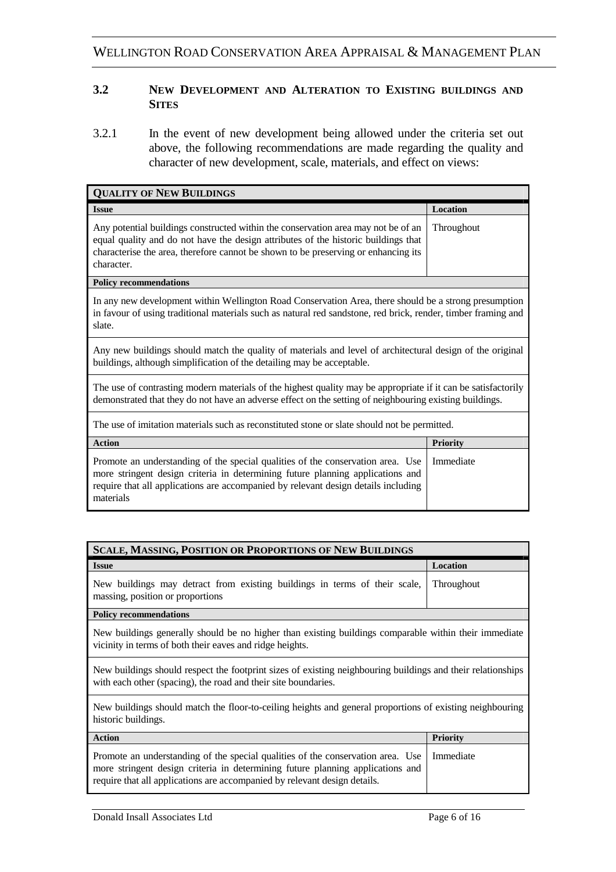#### **3.2 NEW DEVELOPMENT AND ALTERATION TO EXISTING BUILDINGS AND SITES**

3.2.1 In the event of new development being allowed under the criteria set out above, the following recommendations are made regarding the quality and character of new development, scale, materials, and effect on views:

| <b>QUALITY OF NEW BUILDINGS</b>                                                                                                                                                                                                                                             |                 |  |
|-----------------------------------------------------------------------------------------------------------------------------------------------------------------------------------------------------------------------------------------------------------------------------|-----------------|--|
| <b>Issue</b>                                                                                                                                                                                                                                                                | Location        |  |
| Any potential buildings constructed within the conservation area may not be of an<br>equal quality and do not have the design attributes of the historic buildings that<br>characterise the area, therefore cannot be shown to be preserving or enhancing its<br>character. | Throughout      |  |
| <b>Policy recommendations</b>                                                                                                                                                                                                                                               |                 |  |
| In any new development within Wellington Road Conservation Area, there should be a strong presumption<br>in favour of using traditional materials such as natural red sandstone, red brick, render, timber framing and<br>slate.                                            |                 |  |
| Any new buildings should match the quality of materials and level of architectural design of the original<br>buildings, although simplification of the detailing may be acceptable.                                                                                         |                 |  |
| The use of contrasting modern materials of the highest quality may be appropriate if it can be satisfactorily<br>demonstrated that they do not have an adverse effect on the setting of neighbouring existing buildings.                                                    |                 |  |
| The use of imitation materials such as reconstituted stone or slate should not be permitted.                                                                                                                                                                                |                 |  |
| <b>Action</b>                                                                                                                                                                                                                                                               | <b>Priority</b> |  |
| Promote an understanding of the special qualities of the conservation area. Use<br>more stringent design criteria in determining future planning applications and<br>require that all applications are accompanied by relevant design details including<br>materials        | Immediate       |  |

| <b>SCALE, MASSING, POSITION OR PROPORTIONS OF NEW BUILDINGS</b>                                                                                                                                                                                |                 |  |
|------------------------------------------------------------------------------------------------------------------------------------------------------------------------------------------------------------------------------------------------|-----------------|--|
| <b>Issue</b>                                                                                                                                                                                                                                   | Location        |  |
| New buildings may detract from existing buildings in terms of their scale,<br>massing, position or proportions                                                                                                                                 | Throughout      |  |
| <b>Policy recommendations</b>                                                                                                                                                                                                                  |                 |  |
| New buildings generally should be no higher than existing buildings comparable within their immediate<br>vicinity in terms of both their eaves and ridge heights.                                                                              |                 |  |
| New buildings should respect the footprint sizes of existing neighbouring buildings and their relationships<br>with each other (spacing), the road and their site boundaries.                                                                  |                 |  |
| New buildings should match the floor-to-ceiling heights and general proportions of existing neighbouring<br>historic buildings.                                                                                                                |                 |  |
| <b>Action</b>                                                                                                                                                                                                                                  | <b>Priority</b> |  |
| Promote an understanding of the special qualities of the conservation area. Use<br>more stringent design criteria in determining future planning applications and<br>require that all applications are accompanied by relevant design details. | Immediate       |  |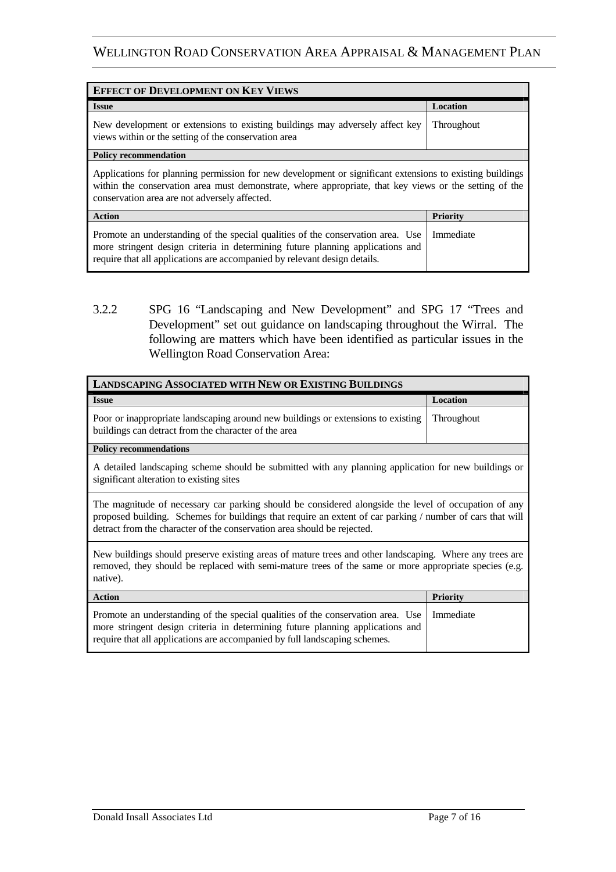| <b>EFFECT OF DEVELOPMENT ON KEY VIEWS</b>                                                                                                                                                                                                                           |                 |  |
|---------------------------------------------------------------------------------------------------------------------------------------------------------------------------------------------------------------------------------------------------------------------|-----------------|--|
| <b>Issue</b>                                                                                                                                                                                                                                                        | <b>Location</b> |  |
| New development or extensions to existing buildings may adversely affect key<br>views within or the setting of the conservation area                                                                                                                                | Throughout      |  |
| <b>Policy recommendation</b>                                                                                                                                                                                                                                        |                 |  |
| Applications for planning permission for new development or significant extensions to existing buildings<br>within the conservation area must demonstrate, where appropriate, that key views or the setting of the<br>conservation area are not adversely affected. |                 |  |
| <b>Action</b>                                                                                                                                                                                                                                                       | Priority        |  |
| Promote an understanding of the special qualities of the conservation area. Use<br>more stringent design criteria in determining future planning applications and<br>require that all applications are accompanied by relevant design details.                      | Immediate       |  |

3.2.2 SPG 16 "Landscaping and New Development" and SPG 17 "Trees and Development" set out guidance on landscaping throughout the Wirral. The following are matters which have been identified as particular issues in the Wellington Road Conservation Area:

| <b>LANDSCAPING ASSOCIATED WITH NEW OR EXISTING BUILDINGS</b>                                                                                                                                                                                                                                 |                   |
|----------------------------------------------------------------------------------------------------------------------------------------------------------------------------------------------------------------------------------------------------------------------------------------------|-------------------|
| <b>Issue</b>                                                                                                                                                                                                                                                                                 | Location          |
| Poor or inappropriate landscaping around new buildings or extensions to existing<br>buildings can detract from the character of the area                                                                                                                                                     | <b>Throughout</b> |
| <b>Policy recommendations</b>                                                                                                                                                                                                                                                                |                   |
| A detailed landscaping scheme should be submitted with any planning application for new buildings or<br>significant alteration to existing sites                                                                                                                                             |                   |
| The magnitude of necessary car parking should be considered alongside the level of occupation of any<br>proposed building. Schemes for buildings that require an extent of car parking / number of cars that will<br>detract from the character of the conservation area should be rejected. |                   |
| New buildings should preserve existing areas of mature trees and other landscaping. Where any trees are<br>removed, they should be replaced with semi-mature trees of the same or more appropriate species (e.g.<br>native).                                                                 |                   |
| <b>Action</b>                                                                                                                                                                                                                                                                                | <b>Priority</b>   |
| Promote an understanding of the special qualities of the conservation area. Use<br>more stringent design criteria in determining future planning applications and<br>require that all applications are accompanied by full landscaping schemes.                                              | Immediate         |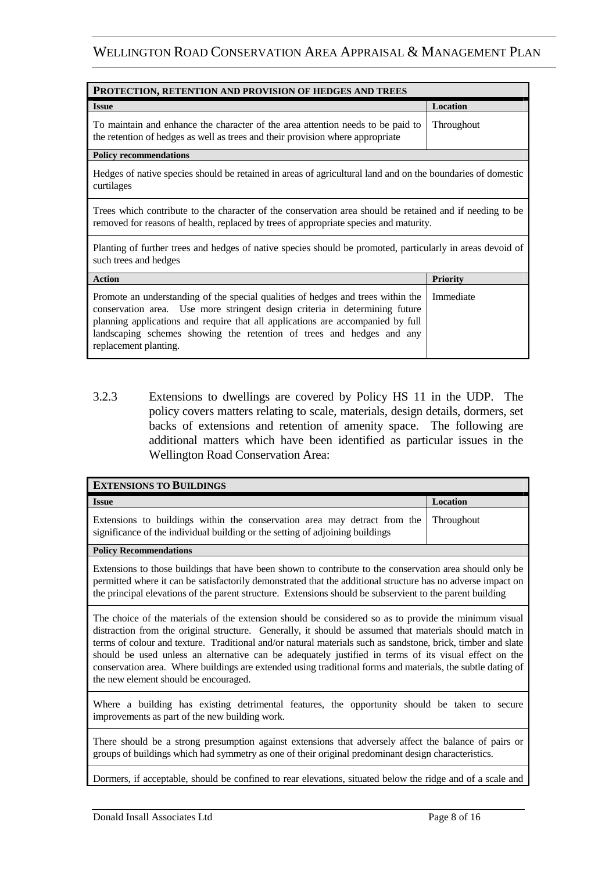| PROTECTION, RETENTION AND PROVISION OF HEDGES AND TREES                                                                                                                                                                                                                                                                                              |                 |
|------------------------------------------------------------------------------------------------------------------------------------------------------------------------------------------------------------------------------------------------------------------------------------------------------------------------------------------------------|-----------------|
| <b>Issue</b>                                                                                                                                                                                                                                                                                                                                         | Location        |
| To maintain and enhance the character of the area attention needs to be paid to<br>the retention of hedges as well as trees and their provision where appropriate                                                                                                                                                                                    | Throughout      |
| <b>Policy recommendations</b>                                                                                                                                                                                                                                                                                                                        |                 |
| Hedges of native species should be retained in areas of agricultural land and on the boundaries of domestic<br>curtilages                                                                                                                                                                                                                            |                 |
| Trees which contribute to the character of the conservation area should be retained and if needing to be<br>removed for reasons of health, replaced by trees of appropriate species and maturity.                                                                                                                                                    |                 |
| Planting of further trees and hedges of native species should be promoted, particularly in areas devoid of<br>such trees and hedges                                                                                                                                                                                                                  |                 |
| <b>Action</b>                                                                                                                                                                                                                                                                                                                                        | <b>Priority</b> |
| Promote an understanding of the special qualities of hedges and trees within the<br>conservation area. Use more stringent design criteria in determining future<br>planning applications and require that all applications are accompanied by full<br>landscaping schemes showing the retention of trees and hedges and any<br>replacement planting. | Immediate       |

3.2.3 Extensions to dwellings are covered by Policy HS 11 in the UDP. The policy covers matters relating to scale, materials, design details, dormers, set backs of extensions and retention of amenity space. The following are additional matters which have been identified as particular issues in the Wellington Road Conservation Area:

| <b>EXTENSIONS TO BUILDINGS</b>                                                                                                                                                                                                                                                                                                                                                                                                                                                                                                                                                                    |            |
|---------------------------------------------------------------------------------------------------------------------------------------------------------------------------------------------------------------------------------------------------------------------------------------------------------------------------------------------------------------------------------------------------------------------------------------------------------------------------------------------------------------------------------------------------------------------------------------------------|------------|
| <b>Issue</b>                                                                                                                                                                                                                                                                                                                                                                                                                                                                                                                                                                                      | Location   |
| Extensions to buildings within the conservation area may detract from the<br>significance of the individual building or the setting of adjoining buildings                                                                                                                                                                                                                                                                                                                                                                                                                                        | Throughout |
| <b>Policy Recommendations</b>                                                                                                                                                                                                                                                                                                                                                                                                                                                                                                                                                                     |            |
| Extensions to those buildings that have been shown to contribute to the conservation area should only be<br>permitted where it can be satisfactorily demonstrated that the additional structure has no adverse impact on<br>the principal elevations of the parent structure. Extensions should be subservient to the parent building                                                                                                                                                                                                                                                             |            |
| The choice of the materials of the extension should be considered so as to provide the minimum visual<br>distraction from the original structure. Generally, it should be assumed that materials should match in<br>terms of colour and texture. Traditional and/or natural materials such as sandstone, brick, timber and slate<br>should be used unless an alternative can be adequately justified in terms of its visual effect on the<br>conservation area. Where buildings are extended using traditional forms and materials, the subtle dating of<br>the new element should be encouraged. |            |
| Where a building has existing detrimental features, the opportunity should be taken to secure<br>improvements as part of the new building work.                                                                                                                                                                                                                                                                                                                                                                                                                                                   |            |
| There should be a strong presumption against extensions that adversely affect the balance of pairs or<br>groups of buildings which had symmetry as one of their original predominant design characteristics.                                                                                                                                                                                                                                                                                                                                                                                      |            |
| Dormers, if acceptable, should be confined to rear elevations, situated below the ridge and of a scale and                                                                                                                                                                                                                                                                                                                                                                                                                                                                                        |            |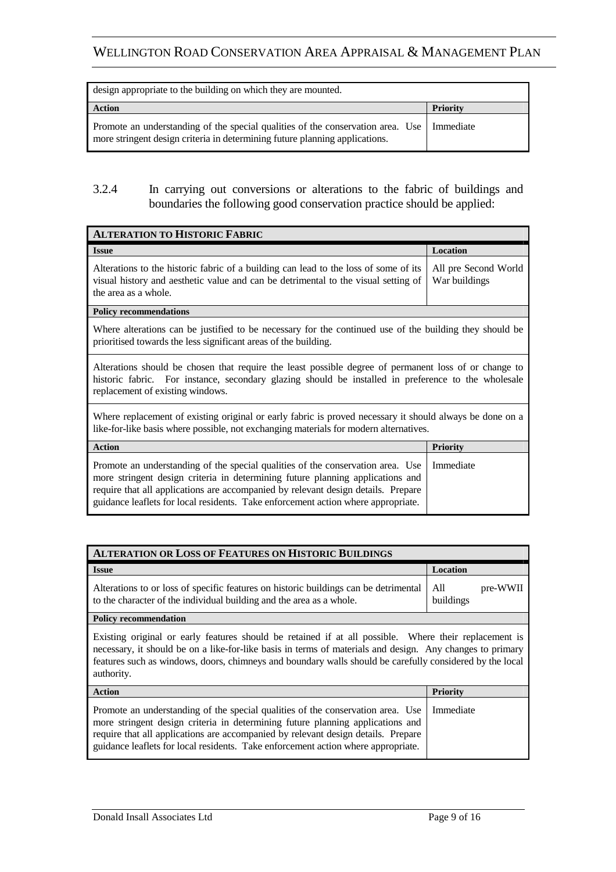| design appropriate to the building on which they are mounted.                                                                                                              |          |
|----------------------------------------------------------------------------------------------------------------------------------------------------------------------------|----------|
| <b>Action</b>                                                                                                                                                              | Priority |
| Promote an understanding of the special qualities of the conservation area. Use   Immediate<br>more stringent design criteria in determining future planning applications. |          |

#### 3.2.4 In carrying out conversions or alterations to the fabric of buildings and boundaries the following good conservation practice should be applied:

| <b>ALTERATION TO HISTORIC FABRIC</b>                                                                                                                                                                                                                                                                                                        |                                       |  |
|---------------------------------------------------------------------------------------------------------------------------------------------------------------------------------------------------------------------------------------------------------------------------------------------------------------------------------------------|---------------------------------------|--|
| <b>Issue</b>                                                                                                                                                                                                                                                                                                                                | Location                              |  |
| Alterations to the historic fabric of a building can lead to the loss of some of its<br>visual history and aesthetic value and can be detrimental to the visual setting of<br>the area as a whole.                                                                                                                                          | All pre Second World<br>War buildings |  |
| <b>Policy recommendations</b>                                                                                                                                                                                                                                                                                                               |                                       |  |
| Where alterations can be justified to be necessary for the continued use of the building they should be<br>prioritised towards the less significant areas of the building.                                                                                                                                                                  |                                       |  |
| Alterations should be chosen that require the least possible degree of permanent loss of or change to<br>historic fabric. For instance, secondary glazing should be installed in preference to the wholesale<br>replacement of existing windows.                                                                                            |                                       |  |
| Where replacement of existing original or early fabric is proved necessary it should always be done on a<br>like-for-like basis where possible, not exchanging materials for modern alternatives.                                                                                                                                           |                                       |  |
| <b>Action</b>                                                                                                                                                                                                                                                                                                                               | <b>Priority</b>                       |  |
| Promote an understanding of the special qualities of the conservation area. Use<br>more stringent design criteria in determining future planning applications and<br>require that all applications are accompanied by relevant design details. Prepare<br>guidance leaflets for local residents. Take enforcement action where appropriate. | Immediate                             |  |

| <b>ALTERATION OR LOSS OF FEATURES ON HISTORIC BUILDINGS</b>                                                                                                                                                                                                                                                                                  |                              |
|----------------------------------------------------------------------------------------------------------------------------------------------------------------------------------------------------------------------------------------------------------------------------------------------------------------------------------------------|------------------------------|
| <b>Issue</b>                                                                                                                                                                                                                                                                                                                                 | Location                     |
| Alterations to or loss of specific features on historic buildings can be detrimental<br>to the character of the individual building and the area as a whole.                                                                                                                                                                                 | pre-WWII<br>A11<br>buildings |
| <b>Policy recommendation</b>                                                                                                                                                                                                                                                                                                                 |                              |
| Existing original or early features should be retained if at all possible. Where their replacement is<br>necessary, it should be on a like-for-like basis in terms of materials and design. Any changes to primary<br>features such as windows, doors, chimneys and boundary walls should be carefully considered by the local<br>authority. |                              |

| <b>Action</b>                                                                                                                                                                                                                                                                                                                                           | <b>Priority</b> |
|---------------------------------------------------------------------------------------------------------------------------------------------------------------------------------------------------------------------------------------------------------------------------------------------------------------------------------------------------------|-----------------|
| Promote an understanding of the special qualities of the conservation area. Use   Immediate<br>more stringent design criteria in determining future planning applications and<br>require that all applications are accompanied by relevant design details. Prepare<br>guidance leaflets for local residents. Take enforcement action where appropriate. |                 |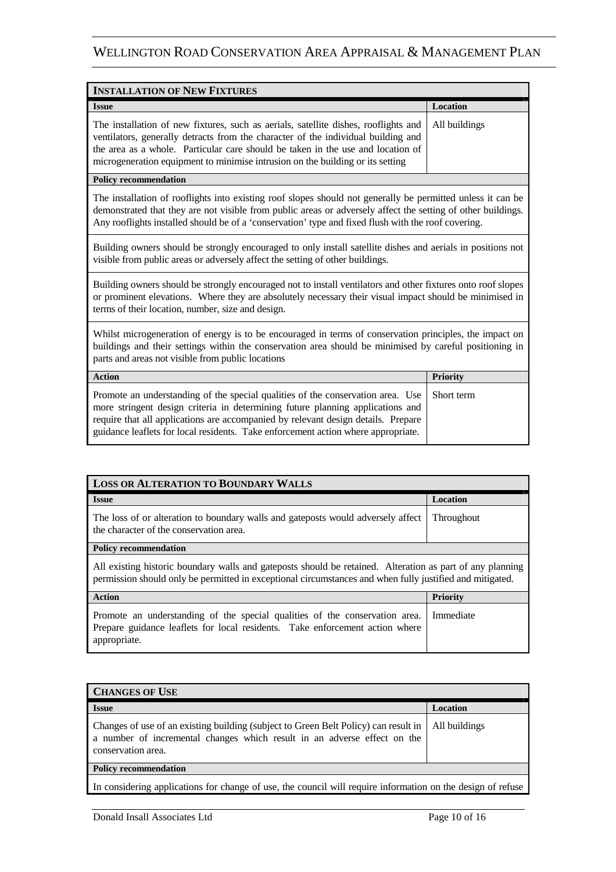| <b>INSTALLATION OF NEW FIXTURES</b>                                                                                                                                                                                                                                                                                                                           |          |
|---------------------------------------------------------------------------------------------------------------------------------------------------------------------------------------------------------------------------------------------------------------------------------------------------------------------------------------------------------------|----------|
| <b>Issue</b>                                                                                                                                                                                                                                                                                                                                                  | Location |
| The installation of new fixtures, such as aerials, satellite dishes, rooflights and   All buildings<br>ventilators, generally detracts from the character of the individual building and<br>the area as a whole. Particular care should be taken in the use and location of<br>microgeneration equipment to minimise intrusion on the building or its setting |          |

**Policy recommendation** 

The installation of rooflights into existing roof slopes should not generally be permitted unless it can be demonstrated that they are not visible from public areas or adversely affect the setting of other buildings. Any rooflights installed should be of a 'conservation' type and fixed flush with the roof covering.

Building owners should be strongly encouraged to only install satellite dishes and aerials in positions not visible from public areas or adversely affect the setting of other buildings.

Building owners should be strongly encouraged not to install ventilators and other fixtures onto roof slopes or prominent elevations. Where they are absolutely necessary their visual impact should be minimised in terms of their location, number, size and design.

Whilst microgeneration of energy is to be encouraged in terms of conservation principles, the impact on buildings and their settings within the conservation area should be minimised by careful positioning in parts and areas not visible from public locations

| <b>Action</b>                                                                                                                                                                                                                                                                                                                                          | <b>Priority</b> |
|--------------------------------------------------------------------------------------------------------------------------------------------------------------------------------------------------------------------------------------------------------------------------------------------------------------------------------------------------------|-----------------|
| Promote an understanding of the special qualities of the conservation area. Use Short term<br>more stringent design criteria in determining future planning applications and<br>require that all applications are accompanied by relevant design details. Prepare<br>guidance leaflets for local residents. Take enforcement action where appropriate. |                 |

| <b>LOSS OR ALTERATION TO BOUNDARY WALLS</b>                                                                                                                                                                           |                   |  |
|-----------------------------------------------------------------------------------------------------------------------------------------------------------------------------------------------------------------------|-------------------|--|
| <b>Issue</b>                                                                                                                                                                                                          | <b>Location</b>   |  |
| The loss of or alteration to boundary walls and gateposts would adversely affect<br>the character of the conservation area.                                                                                           | <b>Throughout</b> |  |
| <b>Policy recommendation</b>                                                                                                                                                                                          |                   |  |
| All existing historic boundary walls and gateposts should be retained. Alteration as part of any planning<br>permission should only be permitted in exceptional circumstances and when fully justified and mitigated. |                   |  |
| <b>Action</b>                                                                                                                                                                                                         | <b>Priority</b>   |  |
| Promote an understanding of the special qualities of the conservation area.<br>Prepare guidance leaflets for local residents. Take enforcement action where<br>appropriate.                                           | Immediate         |  |

| <b>CHANGES OF USE</b>                                                                                                                                                                 |               |
|---------------------------------------------------------------------------------------------------------------------------------------------------------------------------------------|---------------|
| <b>Issue</b>                                                                                                                                                                          | Location      |
| Changes of use of an existing building (subject to Green Belt Policy) can result in<br>a number of incremental changes which result in an adverse effect on the<br>conservation area. | All buildings |
| <b>Policy recommendation</b>                                                                                                                                                          |               |
| In considering applications for change of use, the council will require information on the design of refuse                                                                           |               |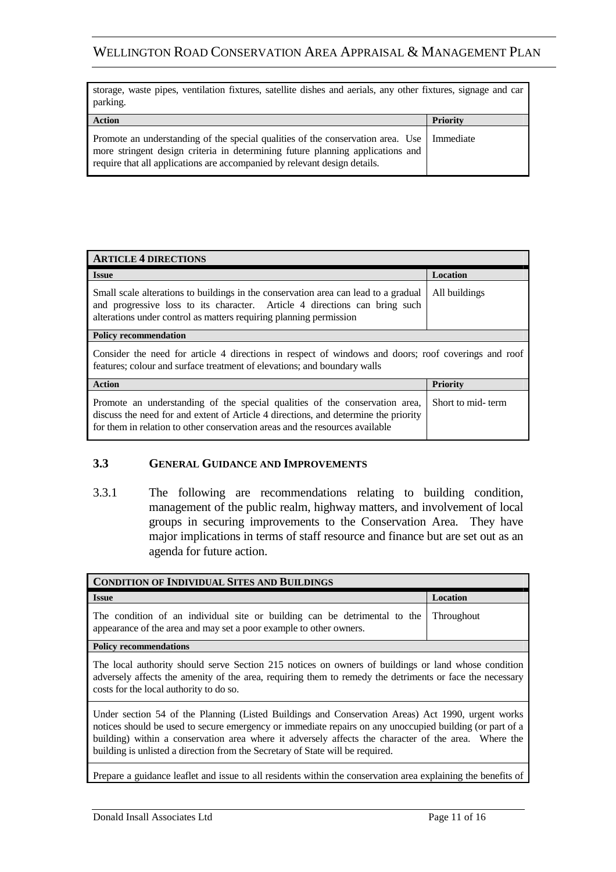| storage, waste pipes, ventilation fixtures, satellite dishes and aerials, any other fixtures, signage and car<br>parking.                                                                                                                                  |                 |
|------------------------------------------------------------------------------------------------------------------------------------------------------------------------------------------------------------------------------------------------------------|-----------------|
| <b>Action</b>                                                                                                                                                                                                                                              | <b>Priority</b> |
| Promote an understanding of the special qualities of the conservation area. Use   Immediate<br>more stringent design criteria in determining future planning applications and<br>require that all applications are accompanied by relevant design details. |                 |

| <b>ARTICLE 4 DIRECTIONS</b>                                                                                                                                                                                                                        |                   |  |
|----------------------------------------------------------------------------------------------------------------------------------------------------------------------------------------------------------------------------------------------------|-------------------|--|
| <b>Issue</b>                                                                                                                                                                                                                                       | Location          |  |
| Small scale alterations to buildings in the conservation area can lead to a gradual<br>and progressive loss to its character. Article 4 directions can bring such<br>alterations under control as matters requiring planning permission            | All buildings     |  |
| <b>Policy recommendation</b>                                                                                                                                                                                                                       |                   |  |
| Consider the need for article 4 directions in respect of windows and doors; roof coverings and roof<br>features; colour and surface treatment of elevations; and boundary walls                                                                    |                   |  |
| <b>Action</b>                                                                                                                                                                                                                                      | <b>Priority</b>   |  |
| Promote an understanding of the special qualities of the conservation area,<br>discuss the need for and extent of Article 4 directions, and determine the priority<br>for them in relation to other conservation areas and the resources available | Short to mid-term |  |

#### **3.3 GENERAL GUIDANCE AND IMPROVEMENTS**

3.3.1 The following are recommendations relating to building condition, management of the public realm, highway matters, and involvement of local groups in securing improvements to the Conservation Area. They have major implications in terms of staff resource and finance but are set out as an agenda for future action.

| <b>CONDITION OF INDIVIDUAL SITES AND BUILDINGS</b>                                                                                                                                                                                                                                                                                                                                                      |                 |
|---------------------------------------------------------------------------------------------------------------------------------------------------------------------------------------------------------------------------------------------------------------------------------------------------------------------------------------------------------------------------------------------------------|-----------------|
| <b>Issue</b>                                                                                                                                                                                                                                                                                                                                                                                            | <b>Location</b> |
| The condition of an individual site or building can be detrimental to the<br>appearance of the area and may set a poor example to other owners.                                                                                                                                                                                                                                                         | Throughout      |
| <b>Policy recommendations</b>                                                                                                                                                                                                                                                                                                                                                                           |                 |
| The local authority should serve Section 215 notices on owners of buildings or land whose condition<br>adversely affects the amenity of the area, requiring them to remedy the detriments or face the necessary<br>costs for the local authority to do so.                                                                                                                                              |                 |
| Under section 54 of the Planning (Listed Buildings and Conservation Areas) Act 1990, urgent works<br>notices should be used to secure emergency or immediate repairs on any unoccupied building (or part of a<br>building) within a conservation area where it adversely affects the character of the area. Where the<br>building is unlisted a direction from the Secretary of State will be required. |                 |

Prepare a guidance leaflet and issue to all residents within the conservation area explaining the benefits of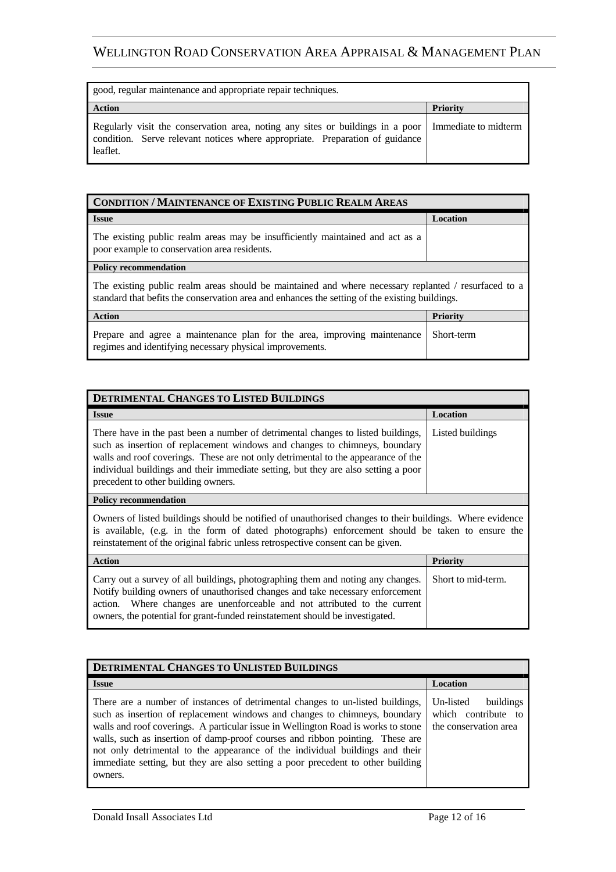| good, regular maintenance and appropriate repair techniques.                                                                                                               |                      |
|----------------------------------------------------------------------------------------------------------------------------------------------------------------------------|----------------------|
| <b>Action</b>                                                                                                                                                              | <b>Priority</b>      |
| Regularly visit the conservation area, noting any sites or buildings in a poor<br>condition. Serve relevant notices where appropriate. Preparation of guidance<br>leaflet. | Immediate to midterm |

| <b>CONDITION / MAINTENANCE OF EXISTING PUBLIC REALM AREAS</b>                                                                                                                                          |                 |  |
|--------------------------------------------------------------------------------------------------------------------------------------------------------------------------------------------------------|-----------------|--|
| <b>Issue</b>                                                                                                                                                                                           | Location        |  |
| The existing public realm areas may be insufficiently maintained and act as a<br>poor example to conservation area residents.                                                                          |                 |  |
| <b>Policy recommendation</b>                                                                                                                                                                           |                 |  |
| The existing public realm areas should be maintained and where necessary replanted / resurfaced to a<br>standard that befits the conservation area and enhances the setting of the existing buildings. |                 |  |
| <b>Action</b>                                                                                                                                                                                          | <b>Priority</b> |  |
| Prepare and agree a maintenance plan for the area, improving maintenance<br>regimes and identifying necessary physical improvements.                                                                   | Short-term      |  |

| <b>DETRIMENTAL CHANGES TO LISTED BUILDINGS</b>                                                                                                                                                                                                                                                                                                                                   |                  |
|----------------------------------------------------------------------------------------------------------------------------------------------------------------------------------------------------------------------------------------------------------------------------------------------------------------------------------------------------------------------------------|------------------|
| <b>Issue</b>                                                                                                                                                                                                                                                                                                                                                                     | Location         |
| There have in the past been a number of detrimental changes to listed buildings,<br>such as insertion of replacement windows and changes to chimneys, boundary<br>walls and roof coverings. These are not only detrimental to the appearance of the<br>individual buildings and their immediate setting, but they are also setting a poor<br>precedent to other building owners. | Listed buildings |

**Policy recommendation** 

Owners of listed buildings should be notified of unauthorised changes to their buildings. Where evidence is available, (e.g. in the form of dated photographs) enforcement should be taken to ensure the reinstatement of the original fabric unless retrospective consent can be given.

| <b>Action</b>                                                                                                                                                                                                                                                                                                                 | <b>Priority</b>    |
|-------------------------------------------------------------------------------------------------------------------------------------------------------------------------------------------------------------------------------------------------------------------------------------------------------------------------------|--------------------|
| Carry out a survey of all buildings, photographing them and noting any changes.<br>Notify building owners of unauthorised changes and take necessary enforcement<br>action. Where changes are unenforceable and not attributed to the current<br>owners, the potential for grant-funded reinstatement should be investigated. | Short to mid-term. |

| DETRIMENTAL CHANGES TO UNLISTED BUILDINGS                                                                                                                                                                                                                                                                                                                                                                                                                                                                        |                                                                        |
|------------------------------------------------------------------------------------------------------------------------------------------------------------------------------------------------------------------------------------------------------------------------------------------------------------------------------------------------------------------------------------------------------------------------------------------------------------------------------------------------------------------|------------------------------------------------------------------------|
| <b>Issue</b>                                                                                                                                                                                                                                                                                                                                                                                                                                                                                                     | Location                                                               |
| There are a number of instances of detrimental changes to un-listed buildings,<br>such as insertion of replacement windows and changes to chimneys, boundary<br>walls and roof coverings. A particular issue in Wellington Road is works to stone<br>walls, such as insertion of damp-proof courses and ribbon pointing. These are<br>not only detrimental to the appearance of the individual buildings and their<br>immediate setting, but they are also setting a poor precedent to other building<br>owners. | Un-listed<br>buildings<br>which contribute to<br>the conservation area |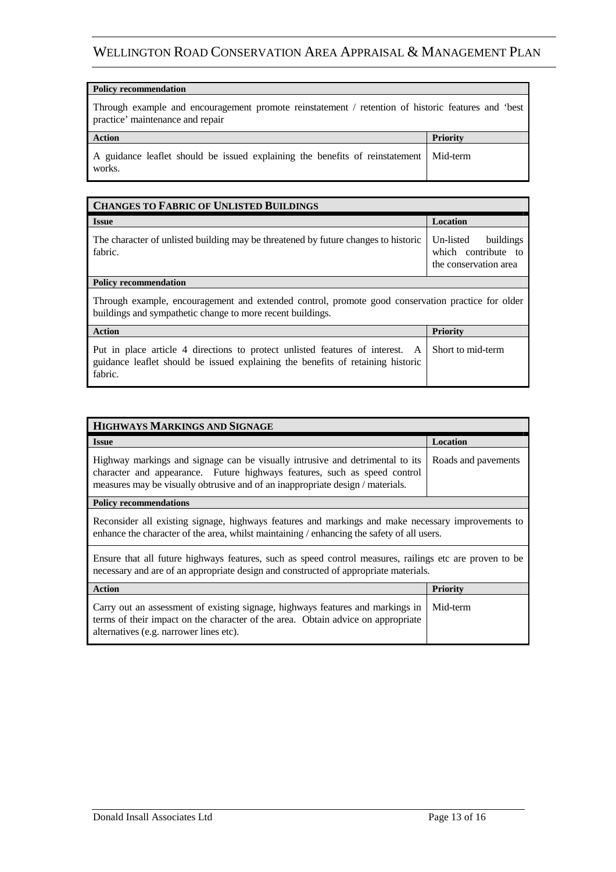#### **Policy recommendation**

Through example and encouragement promote reinstatement / retention of historic features and 'best practice' maintenance and repair

| <b>Action</b>                                                                                     | <b>Priority</b> |
|---------------------------------------------------------------------------------------------------|-----------------|
| A guidance leaflet should be issued explaining the benefits of reinstatement   Mid-term<br>works. |                 |

| <b>CHANGES TO FABRIC OF UNLISTED BUILDINGS</b>                                                                                                                              |                                                                        |  |
|-----------------------------------------------------------------------------------------------------------------------------------------------------------------------------|------------------------------------------------------------------------|--|
| <b>Issue</b>                                                                                                                                                                | Location                                                               |  |
| The character of unlisted building may be threatened by future changes to historic<br>fabric.                                                                               | Un-listed<br>buildings<br>which contribute to<br>the conservation area |  |
| <b>Policy recommendation</b>                                                                                                                                                |                                                                        |  |
| Through example, encouragement and extended control, promote good conservation practice for older<br>buildings and sympathetic change to more recent buildings.             |                                                                        |  |
| <b>Action</b>                                                                                                                                                               | <b>Priority</b>                                                        |  |
| Put in place article 4 directions to protect unlisted features of interest. A<br>guidance leaflet should be issued explaining the benefits of retaining historic<br>fabric. | Short to mid-term                                                      |  |

| HIGHWAYS MARKINGS AND SIGNAGE                                                                                                                                                                                                                |                     |  |
|----------------------------------------------------------------------------------------------------------------------------------------------------------------------------------------------------------------------------------------------|---------------------|--|
| <b>Issue</b>                                                                                                                                                                                                                                 | Location            |  |
| Highway markings and signage can be visually intrusive and detrimental to its<br>character and appearance. Future highways features, such as speed control<br>measures may be visually obtrusive and of an inappropriate design / materials. | Roads and pavements |  |
| <b>Policy recommendations</b>                                                                                                                                                                                                                |                     |  |
| Reconsider all existing signage, highways features and markings and make necessary improvements to<br>enhance the character of the area, whilst maintaining / enhancing the safety of all users.                                             |                     |  |
| Ensure that all future highways features, such as speed control measures, railings etc are proven to be<br>necessary and are of an appropriate design and constructed of appropriate materials.                                              |                     |  |
| <b>Action</b>                                                                                                                                                                                                                                | <b>Priority</b>     |  |
| Carry out an assessment of existing signage, highways features and markings in<br>terms of their impact on the character of the area. Obtain advice on appropriate<br>alternatives (e.g. narrower lines etc).                                | Mid-term            |  |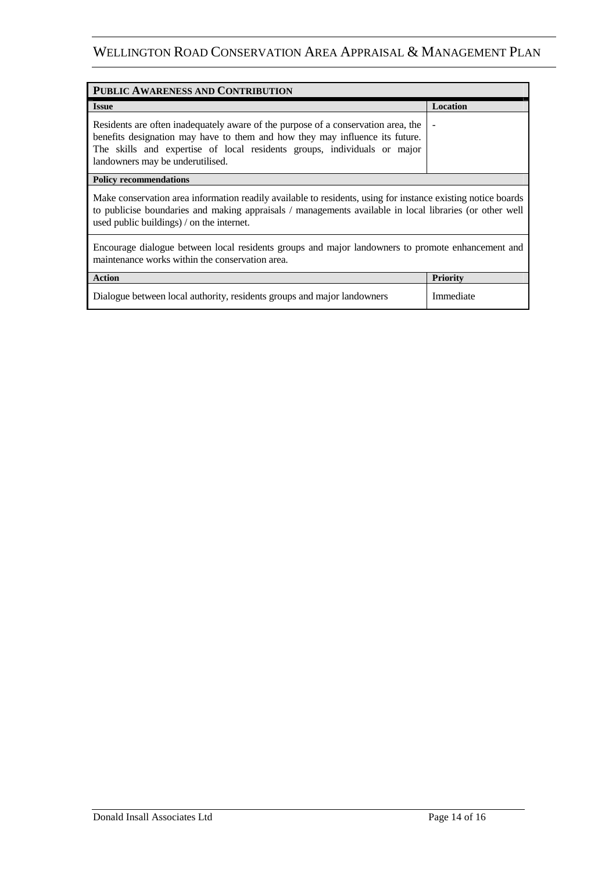| PUBLIC AWARENESS AND CONTRIBUTION                                                                                                                                                                                                                                                 |                 |  |
|-----------------------------------------------------------------------------------------------------------------------------------------------------------------------------------------------------------------------------------------------------------------------------------|-----------------|--|
| <b>Issue</b>                                                                                                                                                                                                                                                                      | Location        |  |
| Residents are often inadequately aware of the purpose of a conservation area, the<br>benefits designation may have to them and how they may influence its future.<br>The skills and expertise of local residents groups, individuals or major<br>landowners may be underutilised. |                 |  |
| <b>Policy recommendations</b>                                                                                                                                                                                                                                                     |                 |  |
| Make conservation area information readily available to residents, using for instance existing notice boards<br>to publicise boundaries and making appraisals / managements available in local libraries (or other well<br>used public buildings) / on the internet.              |                 |  |
| Encourage dialogue between local residents groups and major landowners to promote enhancement and<br>maintenance works within the conservation area.                                                                                                                              |                 |  |
| <b>Action</b>                                                                                                                                                                                                                                                                     | <b>Priority</b> |  |
| Dialogue between local authority, residents groups and major landowners                                                                                                                                                                                                           | Immediate       |  |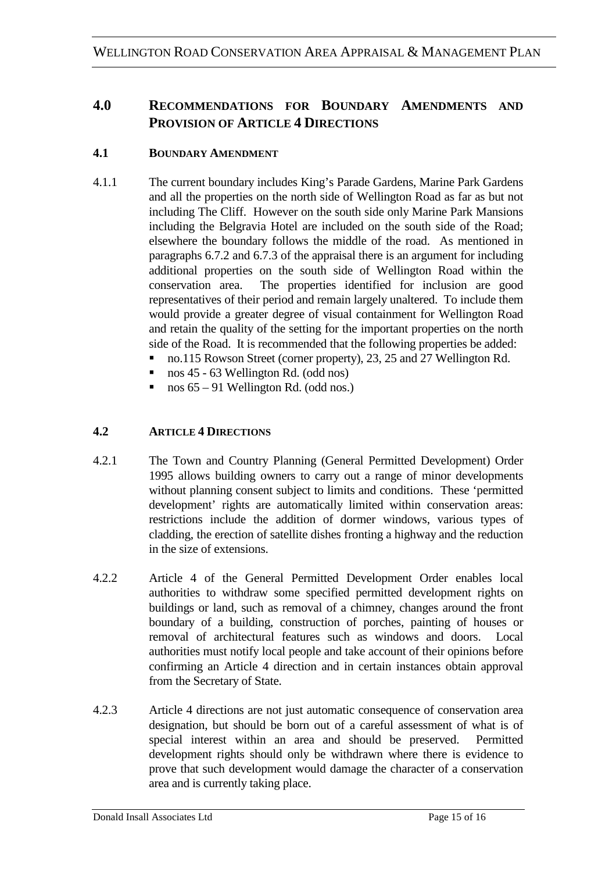# **4.0 RECOMMENDATIONS FOR BOUNDARY AMENDMENTS AND PROVISION OF ARTICLE 4 DIRECTIONS**

### **4.1 BOUNDARY AMENDMENT**

- 4.1.1 The current boundary includes King's Parade Gardens, Marine Park Gardens and all the properties on the north side of Wellington Road as far as but not including The Cliff. However on the south side only Marine Park Mansions including the Belgravia Hotel are included on the south side of the Road; elsewhere the boundary follows the middle of the road. As mentioned in paragraphs 6.7.2 and 6.7.3 of the appraisal there is an argument for including additional properties on the south side of Wellington Road within the conservation area. The properties identified for inclusion are good representatives of their period and remain largely unaltered. To include them would provide a greater degree of visual containment for Wellington Road and retain the quality of the setting for the important properties on the north side of the Road. It is recommended that the following properties be added:
	- no.115 Rowson Street (corner property), 23, 25 and 27 Wellington Rd.
	- nos 45 63 Wellington Rd. (odd nos)
	- nos 65 91 Wellington Rd. (odd nos.)

### **4.2 ARTICLE 4 DIRECTIONS**

- 4.2.1 The Town and Country Planning (General Permitted Development) Order 1995 allows building owners to carry out a range of minor developments without planning consent subject to limits and conditions. These 'permitted development' rights are automatically limited within conservation areas: restrictions include the addition of dormer windows, various types of cladding, the erection of satellite dishes fronting a highway and the reduction in the size of extensions.
- 4.2.2 Article 4 of the General Permitted Development Order enables local authorities to withdraw some specified permitted development rights on buildings or land, such as removal of a chimney, changes around the front boundary of a building, construction of porches, painting of houses or removal of architectural features such as windows and doors. Local authorities must notify local people and take account of their opinions before confirming an Article 4 direction and in certain instances obtain approval from the Secretary of State.
- 4.2.3 Article 4 directions are not just automatic consequence of conservation area designation, but should be born out of a careful assessment of what is of special interest within an area and should be preserved. Permitted development rights should only be withdrawn where there is evidence to prove that such development would damage the character of a conservation area and is currently taking place.